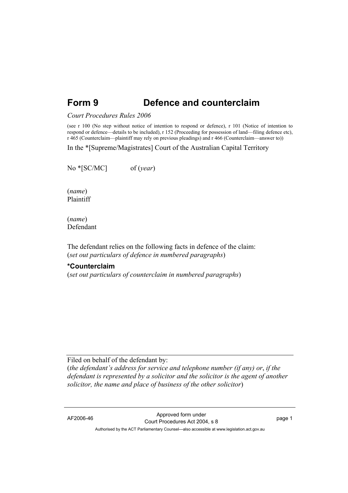# **Form 9 Defence and counterclaim**

#### *Court Procedures Rules 2006*

(see r 100 (No step without notice of intention to respond or defence), r 101 (Notice of intention to respond or defence—details to be included), r 152 (Proceeding for possession of land—filing defence etc), r 465 (Counterclaim—plaintiff may rely on previous pleadings) and r 466 (Counterclaim—answer to))

In the \*[Supreme/Magistrates] Court of the Australian Capital Territory

No \*[SC/MC] of (*year*)

(*name*) Plaintiff

(*name*) Defendant

The defendant relies on the following facts in defence of the claim: (*set out particulars of defence in numbered paragraphs*)

#### **\*Counterclaim**

(*set out particulars of counterclaim in numbered paragraphs*)

Filed on behalf of the defendant by:

(*the defendant's address for service and telephone number (if any) or*, *if the defendant is represented by a solicitor and the solicitor is the agent of another solicitor, the name and place of business of the other solicitor*)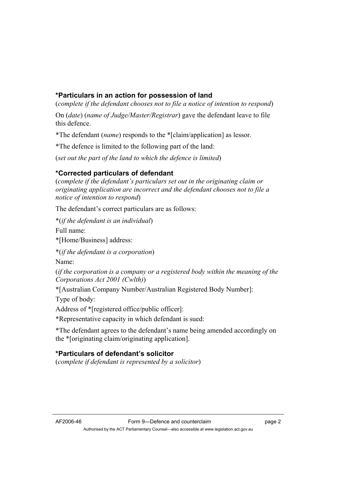## **\*Particulars in an action for possession of land**

(*complete if the defendant chooses not to file a notice of intention to respond*)

On (*date*) (*name of Judge/Master/Registrar*) gave the defendant leave to file this defence.

\*The defendant (*name*) responds to the \*[claim/application] as lessor.

\*The defence is limited to the following part of the land:

(*set out the part of the land to which the defence is limited*)

### **\*Corrected particulars of defendant**

(*complete if the defendant's particulars set out in the originating claim or originating application are incorrect and the defendant chooses not to file a notice of intention to respond*)

The defendant's correct particulars are as follows:

\*(*if the defendant is an individual*)

Full name:

\*[Home/Business] address:

\*(*if the defendant is a corporation*)

Name:

(*if the corporation is a company or a registered body within the meaning of the Corporations Act 2001 (Cwlth)*)

\*[Australian Company Number/Australian Registered Body Number]:

Type of body:

Address of \*[registered office/public officer]:

\*Representative capacity in which defendant is sued:

\*The defendant agrees to the defendant's name being amended accordingly on the \*[originating claim/originating application].

## **\*Particulars of defendant's solicitor**

(*complete if defendant is represented by a solicitor*)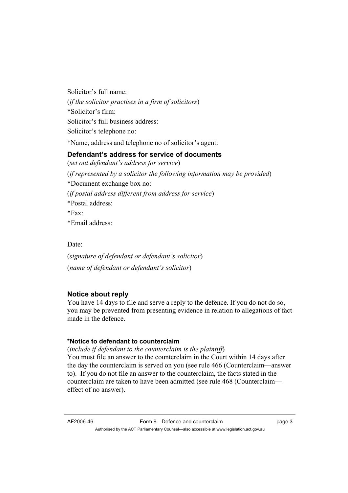Solicitor's full name: (*if the solicitor practises in a firm of solicitors*) \*Solicitor's firm: Solicitor's full business address: Solicitor's telephone no:

\*Name, address and telephone no of solicitor's agent:

### **Defendant's address for service of documents**

(*set out defendant's address for service*) (*if represented by a solicitor the following information may be provided*) \*Document exchange box no: (*if postal address different from address for service*) \*Postal address:  $*Fax$ \*Email address:

Date:

(*signature of defendant or defendant's solicitor*) (*name of defendant or defendant's solicitor*)

### **Notice about reply**

You have 14 days to file and serve a reply to the defence. If you do not do so, you may be prevented from presenting evidence in relation to allegations of fact made in the defence.

#### **\*Notice to defendant to counterclaim**

(*include if defendant to the counterclaim is the plaintiff*) You must file an answer to the counterclaim in the Court within 14 days after the day the counterclaim is served on you (see rule 466 (Counterclaim—answer to). If you do not file an answer to the counterclaim, the facts stated in the counterclaim are taken to have been admitted (see rule 468 (Counterclaim effect of no answer).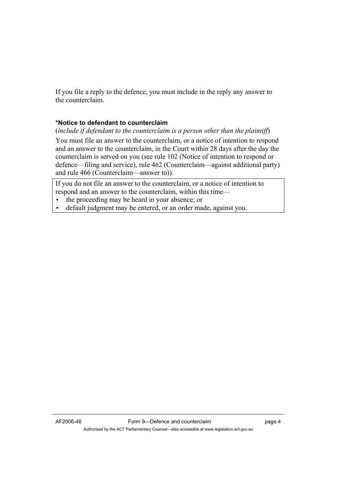If you file a reply to the defence, you must include in the reply any answer to the counterclaim.

### **\*Notice to defendant to counterclaim**

(*include if defendant to the counterclaim is a person other than the plaintiff*)

You must file an answer to the counterclaim, or a notice of intention to respond and an answer to the counterclaim, in the Court within 28 days after the day the counterclaim is served on you (see rule 102 (Notice of intention to respond or defence—filing and service), rule 462 (Counterclaim—against additional party) and rule 466 (Counterclaim—answer to)).

If you do not file an answer to the counterclaim, or a notice of intention to respond and an answer to the counterclaim, within this time—

• the proceeding may be heard in your absence; or

• default judgment may be entered, or an order made, against you.